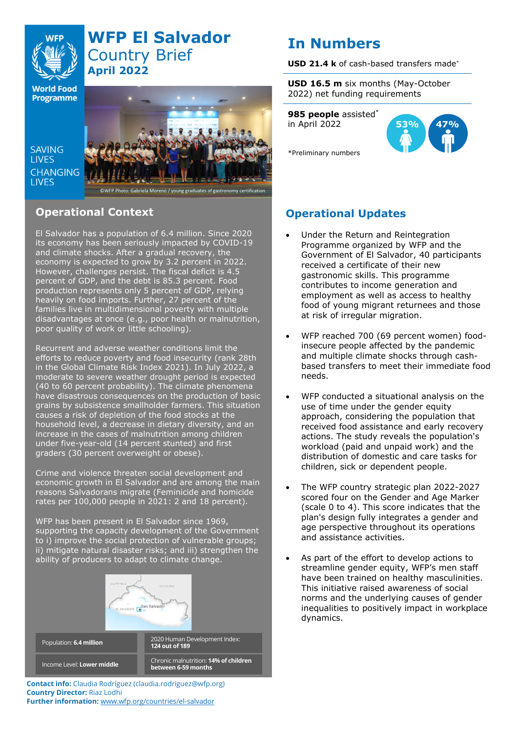

# **WFP El Salvador** Country Brief **April 2022**

**World Food Programme** 

SAVING **TIVES CHANGING I IVES** 



## **Operational Context**

El Salvador has a population of 6.4 million. Since 2020 its economy has been seriously impacted by COVID-19 and climate shocks. After a gradual recovery, the economy is expected to grow by 3.2 percent in 2022. However, challenges persist. The fiscal deficit is 4.5 percent of GDP, and the debt is 85.3 percent. Food production represents only 5 percent of GDP, relying heavily on food imports. Further, 27 percent of the families live in multidimensional poverty with multiple disadvantages at once (e.g., poor health or malnutrition, poor quality of work or little schooling).

Recurrent and adverse weather conditions limit the efforts to reduce poverty and food insecurity (rank 28th in the Global Climate Risk Index 2021). In July 2022, a moderate to severe weather drought period is expected (40 to 60 percent probability). The climate phenomena have disastrous consequences on the production of basic grains by subsistence smallholder farmers. This situation causes a risk of depletion of the food stocks at the household level, a decrease in dietary diversity, and an increase in the cases of malnutrition among children under five-year-old (14 percent stunted) and first graders (30 percent overweight or obese).

Crime and violence threaten social development and economic growth in El Salvador and are among the main reasons Salvadorans migrate (Feminicide and homicide rates per 100,000 people in 2021: 2 and 18 percent).

WFP has been present in El Salvador since 1969, supporting the capacity development of the Government to i) improve the social protection of vulnerable groups; ii) mitigate natural disaster risks; and iii) strengthen the ability of producers to adapt to climate change.



Chronic malnutrition: **14% of children between 6-59 months Contact info:** Claudia Rodríguez (claudia.rodriguez@wfp.org) **Country Director:** Riaz Lodhi

**Further information:** [www.wfp.org/countries/el-salvador](http://www.wfp.org/countries/el-salvador)

Income Level: **Lower middle**

# **In Numbers**

**USD 21.4 k** of cash-based transfers made\*

**USD 16.5 m** six months (May-October 2022) net funding requirements

**985 people** assisted\* in April 2022



\*Preliminary numbers

## **Operational Updates**

- Under the Return and Reintegration Programme organized by WFP and the Government of El Salvador, 40 participants received a certificate of their new gastronomic skills. This programme contributes to income generation and employment as well as access to healthy food of young migrant returnees and those at risk of irregular migration.
- WFP reached 700 (69 percent women) foodinsecure people affected by the pandemic and multiple climate shocks through cashbased transfers to meet their immediate food needs.
- WFP conducted a situational analysis on the use of time under the gender equity approach, considering the population that received food assistance and early recovery actions. The study reveals the population's workload (paid and unpaid work) and the distribution of domestic and care tasks for children, sick or dependent people.
- The WFP country strategic plan 2022-2027 scored four on the Gender and Age Marker (scale 0 to 4). This score indicates that the plan's design fully integrates a gender and age perspective throughout its operations and assistance activities.
- As part of the effort to develop actions to streamline gender equity, WFP's men staff have been trained on healthy masculinities. This initiative raised awareness of social norms and the underlying causes of gender inequalities to positively impact in workplace dynamics.